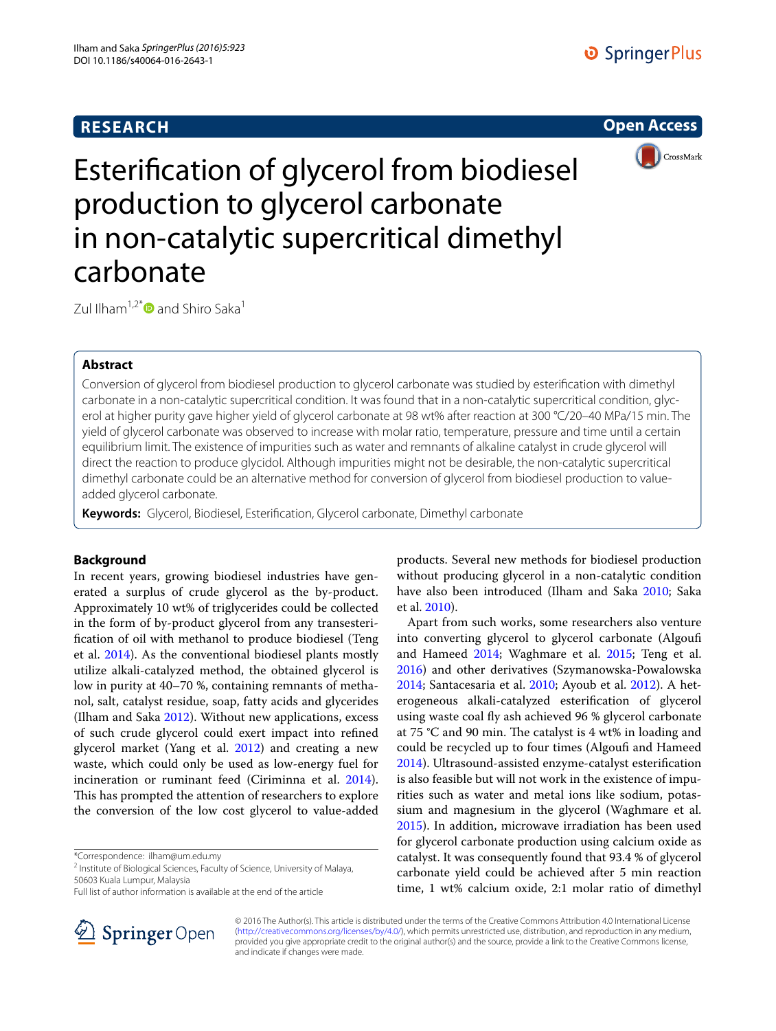# **RESEARCH**





Esterification of glycerol from biodiesel production to glycerol carbonate in non-catalytic supercritical dimethyl carbonate

Zul Ilham<sup>1,2\*</sup> $\bullet$  and Shiro Saka<sup>1</sup>

## **Abstract**

Conversion of glycerol from biodiesel production to glycerol carbonate was studied by esterification with dimethyl carbonate in a non-catalytic supercritical condition. It was found that in a non-catalytic supercritical condition, glycerol at higher purity gave higher yield of glycerol carbonate at 98 wt% after reaction at 300 °C/20–40 MPa/15 min. The yield of glycerol carbonate was observed to increase with molar ratio, temperature, pressure and time until a certain equilibrium limit. The existence of impurities such as water and remnants of alkaline catalyst in crude glycerol will direct the reaction to produce glycidol. Although impurities might not be desirable, the non-catalytic supercritical dimethyl carbonate could be an alternative method for conversion of glycerol from biodiesel production to valueadded glycerol carbonate.

**Keywords:** Glycerol, Biodiesel, Esterification, Glycerol carbonate, Dimethyl carbonate

## **Background**

In recent years, growing biodiesel industries have generated a surplus of crude glycerol as the by-product. Approximately 10 wt% of triglycerides could be collected in the form of by-product glycerol from any transesterification of oil with methanol to produce biodiesel (Teng et al. [2014\)](#page-5-0). As the conventional biodiesel plants mostly utilize alkali-catalyzed method, the obtained glycerol is low in purity at 40–70 %, containing remnants of methanol, salt, catalyst residue, soap, fatty acids and glycerides (Ilham and Saka [2012\)](#page-5-1). Without new applications, excess of such crude glycerol could exert impact into refined glycerol market (Yang et al. [2012\)](#page-5-2) and creating a new waste, which could only be used as low-energy fuel for incineration or ruminant feed (Ciriminna et al. [2014](#page-5-3)). This has prompted the attention of researchers to explore the conversion of the low cost glycerol to value-added

\*Correspondence: ilham@um.edu.my

Full list of author information is available at the end of the article



products. Several new methods for biodiesel production without producing glycerol in a non-catalytic condition have also been introduced (Ilham and Saka [2010](#page-5-4); Saka et al. [2010](#page-5-5)).

Apart from such works, some researchers also venture into converting glycerol to glycerol carbonate (Algoufi and Hameed [2014](#page-5-6); Waghmare et al. [2015](#page-5-7); Teng et al. [2016](#page-5-8)) and other derivatives (Szymanowska-Powalowska [2014](#page-5-9); Santacesaria et al. [2010](#page-5-10); Ayoub et al. [2012\)](#page-5-11). A heterogeneous alkali-catalyzed esterification of glycerol using waste coal fly ash achieved 96 % glycerol carbonate at 75 °C and 90 min. The catalyst is 4 wt% in loading and could be recycled up to four times (Algoufi and Hameed [2014](#page-5-6)). Ultrasound-assisted enzyme-catalyst esterification is also feasible but will not work in the existence of impurities such as water and metal ions like sodium, potassium and magnesium in the glycerol (Waghmare et al. [2015](#page-5-7)). In addition, microwave irradiation has been used for glycerol carbonate production using calcium oxide as catalyst. It was consequently found that 93.4 % of glycerol carbonate yield could be achieved after 5 min reaction time, 1 wt% calcium oxide, 2:1 molar ratio of dimethyl

© 2016 The Author(s). This article is distributed under the terms of the Creative Commons Attribution 4.0 International License [\(http://creativecommons.org/licenses/by/4.0/\)](http://creativecommons.org/licenses/by/4.0/), which permits unrestricted use, distribution, and reproduction in any medium, provided you give appropriate credit to the original author(s) and the source, provide a link to the Creative Commons license, and indicate if changes were made.

<sup>&</sup>lt;sup>2</sup> Institute of Biological Sciences, Faculty of Science, University of Malaya, 50603 Kuala Lumpur, Malaysia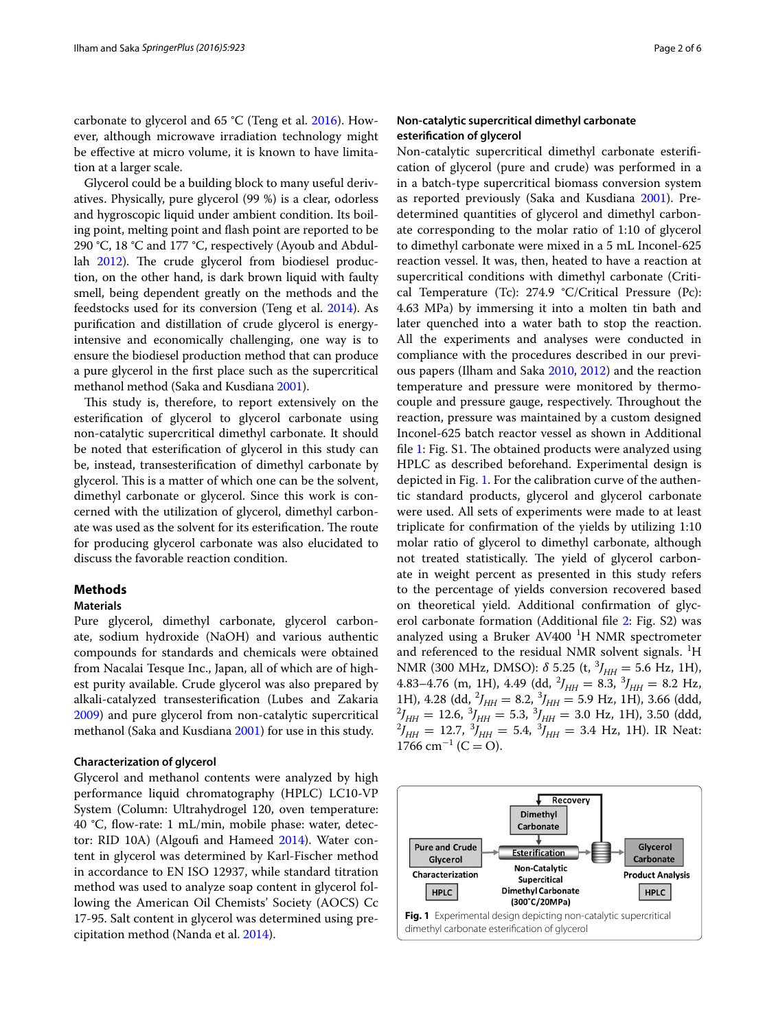carbonate to glycerol and 65 °C (Teng et al. [2016\)](#page-5-8). However, although microwave irradiation technology might be effective at micro volume, it is known to have limitation at a larger scale.

Glycerol could be a building block to many useful derivatives. Physically, pure glycerol (99 %) is a clear, odorless and hygroscopic liquid under ambient condition. Its boiling point, melting point and flash point are reported to be 290 °C, 18 °C and 177 °C, respectively (Ayoub and Abdullah [2012\)](#page-5-12). The crude glycerol from biodiesel production, on the other hand, is dark brown liquid with faulty smell, being dependent greatly on the methods and the feedstocks used for its conversion (Teng et al. [2014\)](#page-5-0). As purification and distillation of crude glycerol is energyintensive and economically challenging, one way is to ensure the biodiesel production method that can produce a pure glycerol in the first place such as the supercritical methanol method (Saka and Kusdiana [2001](#page-5-13)).

This study is, therefore, to report extensively on the esterification of glycerol to glycerol carbonate using non-catalytic supercritical dimethyl carbonate. It should be noted that esterification of glycerol in this study can be, instead, transesterification of dimethyl carbonate by glycerol. This is a matter of which one can be the solvent, dimethyl carbonate or glycerol. Since this work is concerned with the utilization of glycerol, dimethyl carbonate was used as the solvent for its esterification. The route for producing glycerol carbonate was also elucidated to discuss the favorable reaction condition.

### **Methods**

### **Materials**

Pure glycerol, dimethyl carbonate, glycerol carbonate, sodium hydroxide (NaOH) and various authentic compounds for standards and chemicals were obtained from Nacalai Tesque Inc., Japan, all of which are of highest purity available. Crude glycerol was also prepared by alkali-catalyzed transesterification (Lubes and Zakaria [2009](#page-5-14)) and pure glycerol from non-catalytic supercritical methanol (Saka and Kusdiana [2001\)](#page-5-13) for use in this study.

### **Characterization of glycerol**

Glycerol and methanol contents were analyzed by high performance liquid chromatography (HPLC) LC10-VP System (Column: Ultrahydrogel 120, oven temperature: 40 °C, flow-rate: 1 mL/min, mobile phase: water, detector: RID 10A) (Algoufi and Hameed [2014\)](#page-5-6). Water content in glycerol was determined by Karl-Fischer method in accordance to EN ISO 12937, while standard titration method was used to analyze soap content in glycerol following the American Oil Chemists' Society (AOCS) Cc 17-95. Salt content in glycerol was determined using precipitation method (Nanda et al. [2014](#page-5-15)).

## **Non‑catalytic supercritical dimethyl carbonate esterification of glycerol**

Non-catalytic supercritical dimethyl carbonate esterification of glycerol (pure and crude) was performed in a in a batch-type supercritical biomass conversion system as reported previously (Saka and Kusdiana [2001\)](#page-5-13). Predetermined quantities of glycerol and dimethyl carbonate corresponding to the molar ratio of 1:10 of glycerol to dimethyl carbonate were mixed in a 5 mL Inconel-625 reaction vessel. It was, then, heated to have a reaction at supercritical conditions with dimethyl carbonate (Critical Temperature (Tc): 274.9 °C/Critical Pressure (Pc): 4.63 MPa) by immersing it into a molten tin bath and later quenched into a water bath to stop the reaction. All the experiments and analyses were conducted in compliance with the procedures described in our previous papers (Ilham and Saka [2010,](#page-5-4) [2012](#page-5-1)) and the reaction temperature and pressure were monitored by thermocouple and pressure gauge, respectively. Throughout the reaction, pressure was maintained by a custom designed Inconel-625 batch reactor vessel as shown in Additional file [1](#page-5-16): Fig. S1. The obtained products were analyzed using HPLC as described beforehand. Experimental design is depicted in Fig. [1](#page-1-0). For the calibration curve of the authentic standard products, glycerol and glycerol carbonate were used. All sets of experiments were made to at least triplicate for confirmation of the yields by utilizing 1:10 molar ratio of glycerol to dimethyl carbonate, although not treated statistically. The yield of glycerol carbonate in weight percent as presented in this study refers to the percentage of yields conversion recovered based on theoretical yield. Additional confirmation of glycerol carbonate formation (Additional file [2:](#page-5-17) Fig. S2) was analyzed using a Bruker AV400<sup>1</sup>H NMR spectrometer and referenced to the residual NMR solvent signals.  ${}^{1}H$ NMR (300 MHz, DMSO):  $\delta$  5.25 (t, <sup>3</sup>/<sub>HH</sub> = 5.6 Hz, 1H), 4.83–4.76 (m, 1H), 4.49 (dd,  $^{2}J_{HH} = 8.3$ ,  $^{3}J_{HH} = 8.2$  Hz, 1H), 4.28 (dd,  $^{2}J_{HH} = 8.2$ ,  $^{3}J_{HH} = 5.9$  Hz, 1H), 3.66 (ddd,  $^{2}J_{HH} = 12.6$ ,  $^{3}J_{HH} = 5.3$ ,  $^{3}J_{HH} = 3.0$  Hz, 1H), 3.50 (ddd,  $^{2}J_{HH} = 12.7$ ,  $^{3}J_{HH} = 5.4$ ,  $^{3}J_{HH} = 3.4$  Hz, 1H). IR Neat:  $1766$  cm<sup>-1</sup> (C = O).

<span id="page-1-0"></span>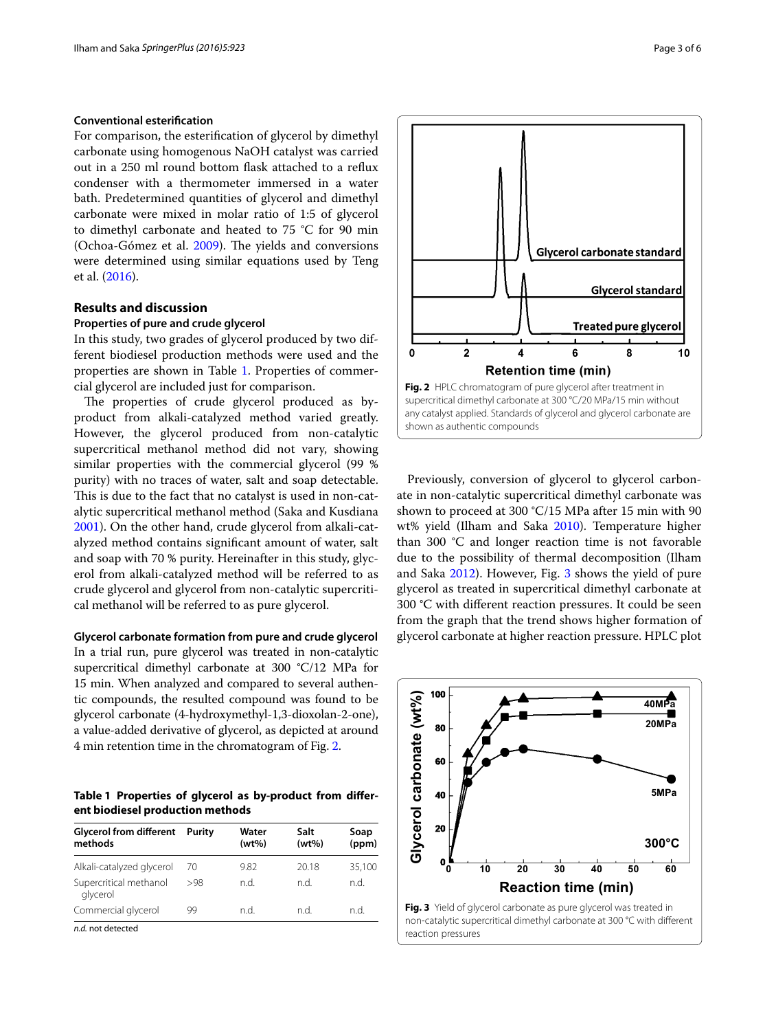### **Conventional esterification**

For comparison, the esterification of glycerol by dimethyl carbonate using homogenous NaOH catalyst was carried out in a 250 ml round bottom flask attached to a reflux condenser with a thermometer immersed in a water bath. Predetermined quantities of glycerol and dimethyl carbonate were mixed in molar ratio of 1:5 of glycerol to dimethyl carbonate and heated to 75 °C for 90 min (Ochoa-Gómez et al. [2009](#page-5-18)). The yields and conversions were determined using similar equations used by Teng et al. ([2016](#page-5-8)).

## **Results and discussion**

#### **Properties of pure and crude glycerol**

In this study, two grades of glycerol produced by two different biodiesel production methods were used and the properties are shown in Table [1](#page-2-0). Properties of commercial glycerol are included just for comparison.

The properties of crude glycerol produced as byproduct from alkali-catalyzed method varied greatly. However, the glycerol produced from non-catalytic supercritical methanol method did not vary, showing similar properties with the commercial glycerol (99 % purity) with no traces of water, salt and soap detectable. This is due to the fact that no catalyst is used in non-catalytic supercritical methanol method (Saka and Kusdiana [2001](#page-5-13)). On the other hand, crude glycerol from alkali-catalyzed method contains significant amount of water, salt and soap with 70 % purity. Hereinafter in this study, glycerol from alkali-catalyzed method will be referred to as crude glycerol and glycerol from non-catalytic supercritical methanol will be referred to as pure glycerol.

### **Glycerol carbonate formation from pure and crude glycerol**

In a trial run, pure glycerol was treated in non-catalytic supercritical dimethyl carbonate at 300 °C/12 MPa for 15 min. When analyzed and compared to several authentic compounds, the resulted compound was found to be glycerol carbonate (4-hydroxymethyl-1,3-dioxolan-2-one), a value-added derivative of glycerol, as depicted at around 4 min retention time in the chromatogram of Fig. [2.](#page-2-1)

<span id="page-2-0"></span>**Table 1 Properties of glycerol as by-product from different biodiesel production methods**

| <b>Glycerol from different</b><br>methods | Purity | Water<br>$(wt\%)$ | Salt<br>$(wt\%)$ | Soap<br>(ppm) |  |
|-------------------------------------------|--------|-------------------|------------------|---------------|--|
| Alkali-catalyzed glycerol                 | 70     | 9.82              | 20.18            | 35,100        |  |
| Supercritical methanol<br>glycerol        | >98    | n.d.              | n.d.             | n.d.          |  |
| Commercial glycerol                       | 99     | n.d.              | n.d.             | n.d.          |  |
| n.d. not detected                         |        |                   |                  |               |  |

Glycerol carbonate standard **Glycerol standard Treated pure glycerol**  $\Omega$  $\overline{2}$  $\boldsymbol{\Lambda}$ 6  $\mathbf{R}$ 10 **Retention time (min) Fig. 2** HPLC chromatogram of pure glycerol after treatment in supercritical dimethyl carbonate at 300 °C/20 MPa/15 min without any catalyst applied. Standards of glycerol and glycerol carbonate are

<span id="page-2-1"></span>shown as authentic compounds

Previously, conversion of glycerol to glycerol carbonate in non-catalytic supercritical dimethyl carbonate was shown to proceed at 300 °C/15 MPa after 15 min with 90 wt% yield (Ilham and Saka [2010\)](#page-5-4). Temperature higher than 300 °C and longer reaction time is not favorable due to the possibility of thermal decomposition (Ilham and Saka [2012\)](#page-5-1). However, Fig. [3](#page-2-2) shows the yield of pure glycerol as treated in supercritical dimethyl carbonate at 300 °C with different reaction pressures. It could be seen from the graph that the trend shows higher formation of glycerol carbonate at higher reaction pressure. HPLC plot

<span id="page-2-2"></span>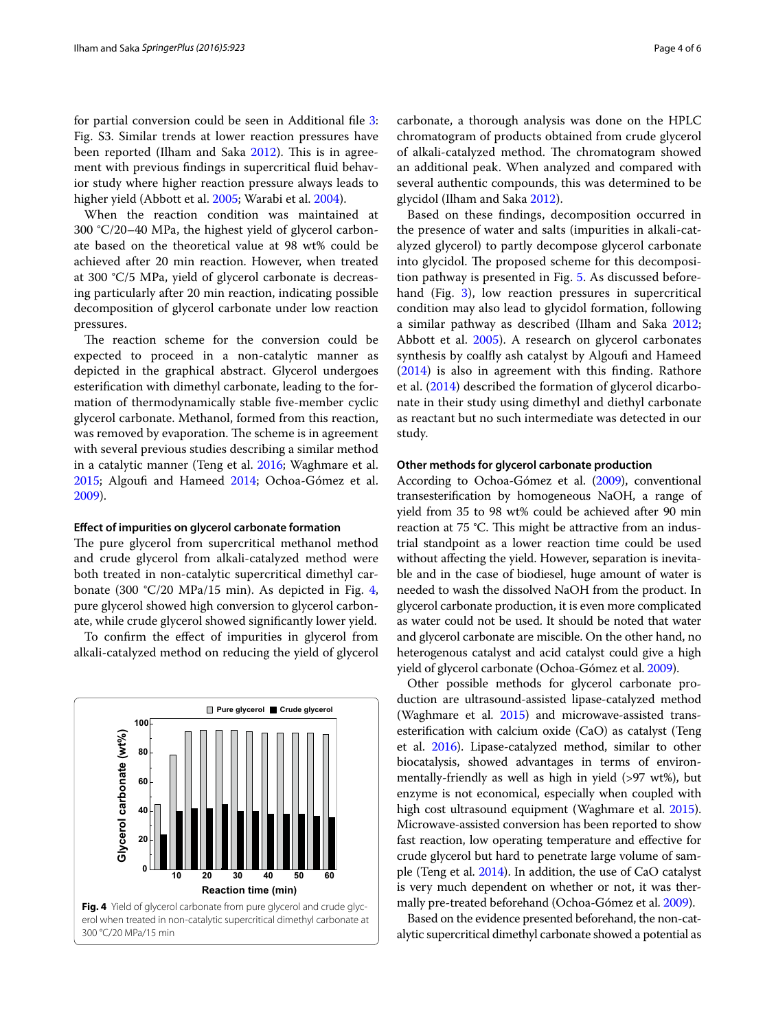for partial conversion could be seen in Additional file [3](#page-5-19): Fig. S3. Similar trends at lower reaction pressures have been reported (Ilham and Saka [2012](#page-5-1)). This is in agreement with previous findings in supercritical fluid behavior study where higher reaction pressure always leads to higher yield (Abbott et al. [2005;](#page-5-20) Warabi et al. [2004\)](#page-5-21).

When the reaction condition was maintained at 300 °C/20–40 MPa, the highest yield of glycerol carbonate based on the theoretical value at 98 wt% could be achieved after 20 min reaction. However, when treated at 300 °C/5 MPa, yield of glycerol carbonate is decreasing particularly after 20 min reaction, indicating possible decomposition of glycerol carbonate under low reaction pressures.

The reaction scheme for the conversion could be expected to proceed in a non-catalytic manner as depicted in the graphical abstract. Glycerol undergoes esterification with dimethyl carbonate, leading to the formation of thermodynamically stable five-member cyclic glycerol carbonate. Methanol, formed from this reaction, was removed by evaporation. The scheme is in agreement with several previous studies describing a similar method in a catalytic manner (Teng et al. [2016](#page-5-8); Waghmare et al. [2015](#page-5-7); Algoufi and Hameed [2014;](#page-5-6) Ochoa-Gómez et al. [2009](#page-5-18)).

### **Effect of impurities on glycerol carbonate formation**

The pure glycerol from supercritical methanol method and crude glycerol from alkali-catalyzed method were both treated in non-catalytic supercritical dimethyl carbonate (300  $\textdegree$ C/20 MPa/15 min). As depicted in Fig. [4](#page-3-0), pure glycerol showed high conversion to glycerol carbonate, while crude glycerol showed significantly lower yield.

To confirm the effect of impurities in glycerol from alkali-catalyzed method on reducing the yield of glycerol

<span id="page-3-0"></span>

carbonate, a thorough analysis was done on the HPLC chromatogram of products obtained from crude glycerol of alkali-catalyzed method. The chromatogram showed an additional peak. When analyzed and compared with several authentic compounds, this was determined to be glycidol (Ilham and Saka [2012\)](#page-5-1).

Based on these findings, decomposition occurred in the presence of water and salts (impurities in alkali-catalyzed glycerol) to partly decompose glycerol carbonate into glycidol. The proposed scheme for this decomposition pathway is presented in Fig. [5.](#page-4-0) As discussed beforehand (Fig. [3](#page-2-2)), low reaction pressures in supercritical condition may also lead to glycidol formation, following a similar pathway as described (Ilham and Saka [2012](#page-5-1); Abbott et al. [2005](#page-5-20)). A research on glycerol carbonates synthesis by coalfly ash catalyst by Algoufi and Hameed ([2014\)](#page-5-6) is also in agreement with this finding. Rathore et al. [\(2014](#page-5-22)) described the formation of glycerol dicarbonate in their study using dimethyl and diethyl carbonate as reactant but no such intermediate was detected in our study.

### **Other methods for glycerol carbonate production**

According to Ochoa-Gómez et al. ([2009\)](#page-5-18), conventional transesterification by homogeneous NaOH, a range of yield from 35 to 98 wt% could be achieved after 90 min reaction at 75 °C. This might be attractive from an industrial standpoint as a lower reaction time could be used without affecting the yield. However, separation is inevitable and in the case of biodiesel, huge amount of water is needed to wash the dissolved NaOH from the product. In glycerol carbonate production, it is even more complicated as water could not be used. It should be noted that water and glycerol carbonate are miscible. On the other hand, no heterogenous catalyst and acid catalyst could give a high yield of glycerol carbonate (Ochoa-Gómez et al. [2009](#page-5-18)).

Other possible methods for glycerol carbonate production are ultrasound-assisted lipase-catalyzed method (Waghmare et al. [2015](#page-5-7)) and microwave-assisted transesterification with calcium oxide (CaO) as catalyst (Teng et al. [2016\)](#page-5-8). Lipase-catalyzed method, similar to other biocatalysis, showed advantages in terms of environmentally-friendly as well as high in yield (>97 wt%), but enzyme is not economical, especially when coupled with high cost ultrasound equipment (Waghmare et al. [2015](#page-5-7)). Microwave-assisted conversion has been reported to show fast reaction, low operating temperature and effective for crude glycerol but hard to penetrate large volume of sample (Teng et al. [2014\)](#page-5-0). In addition, the use of CaO catalyst is very much dependent on whether or not, it was thermally pre-treated beforehand (Ochoa-Gómez et al. [2009\)](#page-5-18).

Based on the evidence presented beforehand, the non-catalytic supercritical dimethyl carbonate showed a potential as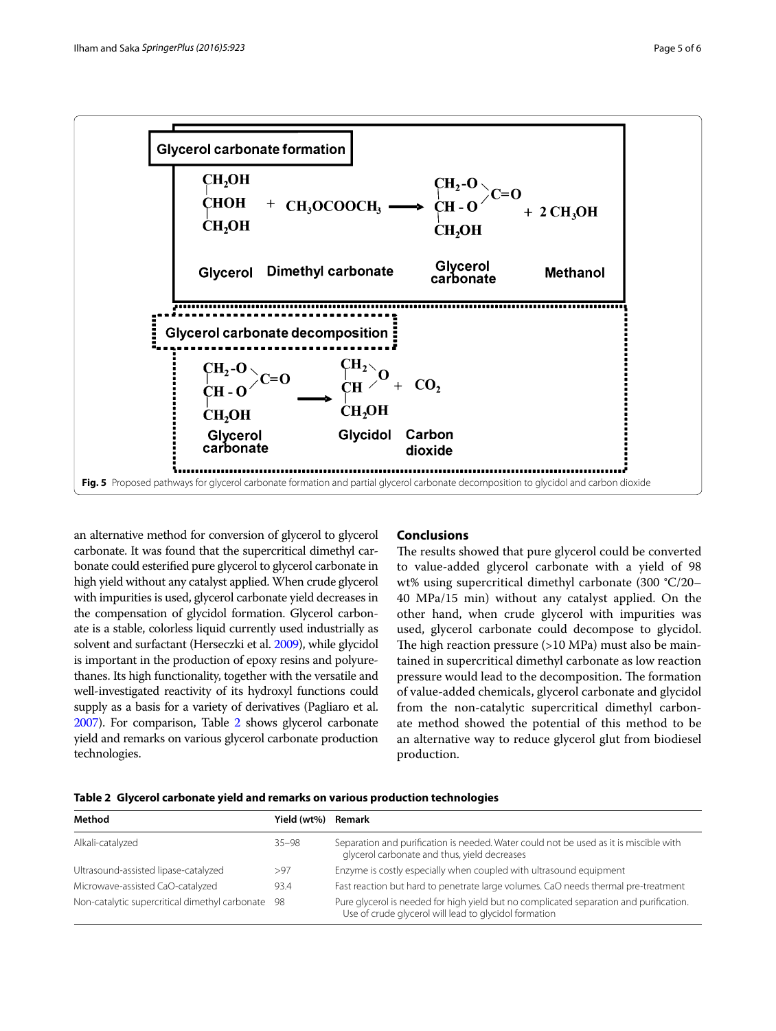

<span id="page-4-0"></span>an alternative method for conversion of glycerol to glycerol carbonate. It was found that the supercritical dimethyl carbonate could esterified pure glycerol to glycerol carbonate in high yield without any catalyst applied. When crude glycerol with impurities is used, glycerol carbonate yield decreases in the compensation of glycidol formation. Glycerol carbonate is a stable, colorless liquid currently used industrially as solvent and surfactant (Herseczki et al. [2009](#page-5-23)), while glycidol is important in the production of epoxy resins and polyurethanes. Its high functionality, together with the versatile and well-investigated reactivity of its hydroxyl functions could supply as a basis for a variety of derivatives (Pagliaro et al. [2007\)](#page-5-24). For comparison, Table [2](#page-4-1) shows glycerol carbonate yield and remarks on various glycerol carbonate production technologies.

## **Conclusions**

The results showed that pure glycerol could be converted to value-added glycerol carbonate with a yield of 98 wt% using supercritical dimethyl carbonate (300 °C/20– 40 MPa/15 min) without any catalyst applied. On the other hand, when crude glycerol with impurities was used, glycerol carbonate could decompose to glycidol. The high reaction pressure (>10 MPa) must also be maintained in supercritical dimethyl carbonate as low reaction pressure would lead to the decomposition. The formation of value-added chemicals, glycerol carbonate and glycidol from the non-catalytic supercritical dimethyl carbonate method showed the potential of this method to be an alternative way to reduce glycerol glut from biodiesel production.

<span id="page-4-1"></span>

|  |  |  |  |  |  |  | Table 2 Glycerol carbonate yield and remarks on various production technologies |
|--|--|--|--|--|--|--|---------------------------------------------------------------------------------|
|--|--|--|--|--|--|--|---------------------------------------------------------------------------------|

| Method                                            | Yield (wt%) | Remark                                                                                                                                          |
|---------------------------------------------------|-------------|-------------------------------------------------------------------------------------------------------------------------------------------------|
| Alkali-catalyzed                                  | $35 - 98$   | Separation and purification is needed. Water could not be used as it is miscible with<br>glycerol carbonate and thus, yield decreases           |
| Ultrasound-assisted lipase-catalyzed              | >97         | Enzyme is costly especially when coupled with ultrasound equipment                                                                              |
| Microwave-assisted CaO-catalyzed                  | 93.4        | Fast reaction but hard to penetrate large volumes. CaO needs thermal pre-treatment                                                              |
| Non-catalytic supercritical dimethyl carbonate 98 |             | Pure glycerol is needed for high yield but no complicated separation and purification.<br>Use of crude glycerol will lead to glycidol formation |